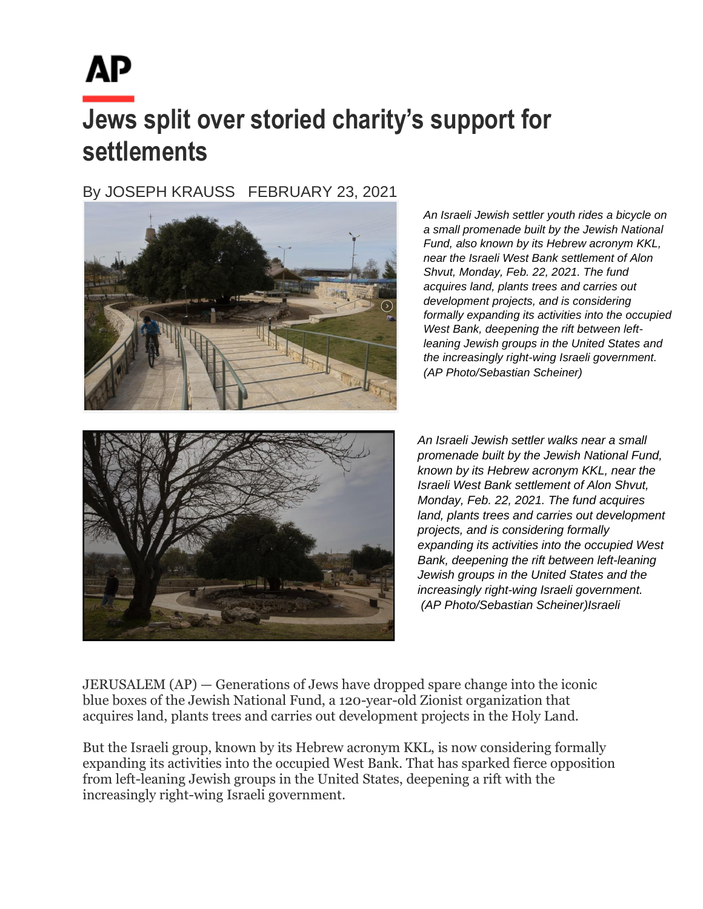## **Jews split over storied charity's support for settlements**

By JOSEPH KRAUSS FEBRUARY 23, 2021



*An Israeli Jewish settler youth rides a bicycle on a small promenade built by the Jewish National Fund, also known by its Hebrew acronym KKL, near the Israeli West Bank settlement of Alon Shvut, Monday, Feb. 22, 2021. The fund acquires land, plants trees and carries out development projects, and is considering formally expanding its activities into the occupied West Bank, deepening the rift between leftleaning Jewish groups in the United States and the increasingly right-wing Israeli government. (AP Photo/Sebastian Scheiner)* 



the Israeli West Bank settlement of Alon *An Israeli Jewish settler walks near a small*  Shvut, Monday, Feb. 22, 2021. The fund *promenade built by the Jewish National Fund,*  acquires land, plants trees and carries out *known by its Hebrew acronym KKL, near the diown by its rieblew acronym KKL, hear the*<br>*Israeli West Bank settlement of Alon Shvut,* formally expanding its activities into the *Monday, Feb. 22, 2021. The fund acquires*  occupied West Bank, and the rund addung land, plants trees and carries out development *projects, and is considering formally*<br>expanding its activities into the occupied West Expanding its activities lifts the occupied west-<br>Bank, deepening the rift between left-leaning *Dank, deepering the mt between feit-fearing*<br>Jewish groups in the United States and the *projects, and is considering formally increasingly right-wing Israeli government. (AP Photo/Sebastian Scheiner)Israeli* 

JERUSALEM (AP) — Generations of Jews have dropped spare change into the iconic blue boxes of the Jewish National Fund, a 120-year-old Zionist organization that acquires land, plants trees and carries out development projects in the Holy Land. projects in the troly Early.

But the Israeli group, known by its Hebrew acronym KKL, is now considering formally but the israeli group, known by its rieblew acronym KKL, is now considering formally<br>expanding its activities into the occupied West Bank. That has sparked fierce opposition from left-leaning Jewish groups in the United States, deepening a rift with the increasingly right-wing Israeli government.  $\frac{1}{2}$  and  $\frac{1}{2}$  right-winglet-winglet-winglet-winglet-winglet-winglet-winglet-winglet-winglet-winglet-winglet-winglet-winglet-winglet-winglet-winglet-winglet-winglet-winglet-winglet-winglet-winglet-winglet-winglet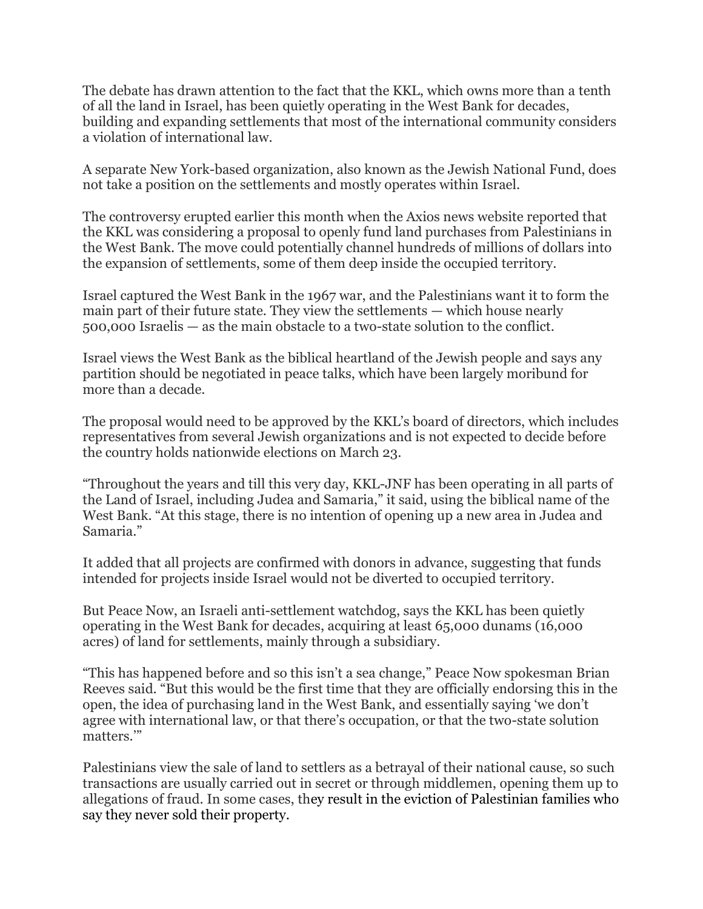The debate has drawn attention to the fact that the KKL, which owns more than a tenth of all the land in Israel, has been quietly operating in the West Bank for decades, building and expanding settlements that most of the international community considers a violation of international law.

A separate New York-based organization, also known as the Jewish National Fund, does not take a position on the settlements and mostly operates within Israel.

The controversy erupted earlier this month when the Axios news website reported that the KKL was considering a proposal to openly fund land purchases from Palestinians in the West Bank. The move could potentially channel hundreds of millions of dollars into the expansion of settlements, some of them deep inside the occupied territory.

Israel captured the West Bank in the 1967 war, and the Palestinians want it to form the main part of their future state. They view the settlements — which house nearly 500,000 Israelis — as the main obstacle to a two-state solution to the conflict.

Israel views the West Bank as the biblical heartland of the Jewish people and says any partition should be negotiated in peace talks, which have been largely moribund for more than a decade.

The proposal would need to be approved by the KKL's board of directors, which includes representatives from several Jewish organizations and is not expected to decide before the country holds nationwide elections on March 23.

"Throughout the years and till this very day, KKL-JNF has been operating in all parts of the Land of Israel, including Judea and Samaria," it said, using the biblical name of the West Bank. "At this stage, there is no intention of opening up a new area in Judea and Samaria."

It added that all projects are confirmed with donors in advance, suggesting that funds intended for projects inside Israel would not be diverted to occupied territory.

But Peace Now, an Israeli anti-settlement watchdog, says the KKL has been quietly operating in the West Bank for decades, acquiring at least 65,000 dunams (16,000 acres) of land for settlements, mainly through a subsidiary.

"This has happened before and so this isn't a sea change," Peace Now spokesman Brian Reeves said. "But this would be the first time that they are officially endorsing this in the open, the idea of purchasing land in the West Bank, and essentially saying 'we don't agree with international law, or that there's occupation, or that the two-state solution matters.'"

Palestinians view the sale of land to settlers as a betrayal of their national cause, so such transactions are usually carried out in secret or through middlemen, opening them up to allegations of fraud. In some cases, they result in the eviction of Palestinian families who say they never sold their property.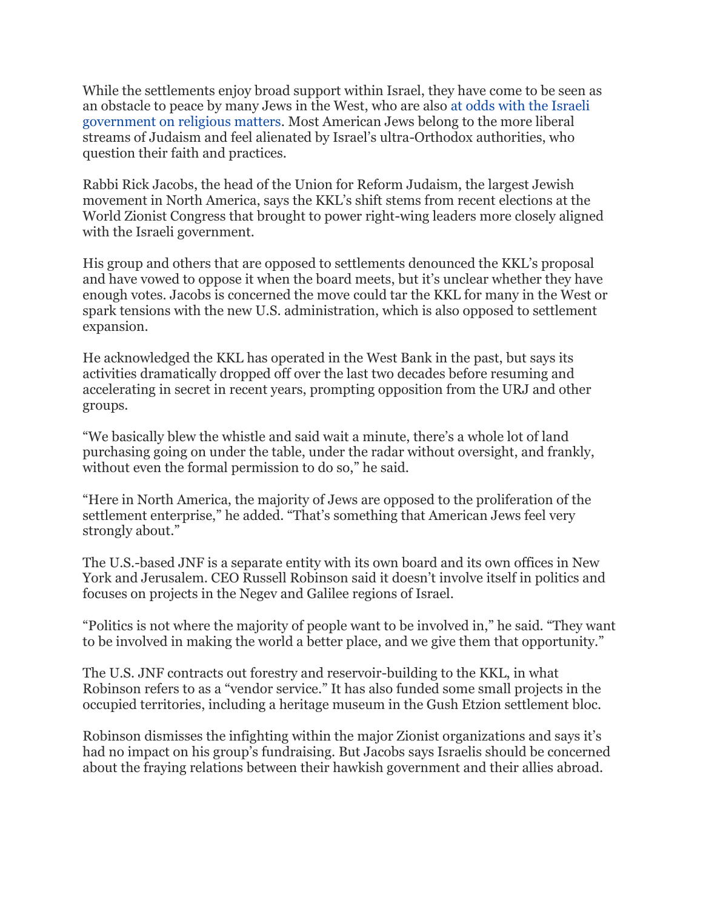While the settlements enjoy broad support within Israel, they have come to be seen as an obstacle to peace by many Jews in the West, who are also [at odds with](https://apnews.com/article/343991ff0dcd435aa08bccd98b202614) the Israeli [government on religious matters.](https://apnews.com/article/343991ff0dcd435aa08bccd98b202614) Most American Jews belong to the more liberal streams of Judaism and feel alienated by Israel's ultra-Orthodox authorities, who question their faith and practices.

Rabbi Rick Jacobs, the head of the Union for Reform Judaism, the largest Jewish movement in North America, says the KKL's shift stems from recent elections at the World Zionist Congress that brought to power right-wing leaders more closely aligned with the Israeli government.

His group and others that are opposed to settlements denounced the KKL's proposal and have vowed to oppose it when the board meets, but it's unclear whether they have enough votes. Jacobs is concerned the move could tar the KKL for many in the West or spark tensions with the new U.S. administration, which is also opposed to settlement expansion.

He acknowledged the KKL has operated in the West Bank in the past, but says its activities dramatically dropped off over the last two decades before resuming and accelerating in secret in recent years, prompting opposition from the URJ and other groups.

"We basically blew the whistle and said wait a minute, there's a whole lot of land purchasing going on under the table, under the radar without oversight, and frankly, without even the formal permission to do so," he said.

"Here in North America, the majority of Jews are opposed to the proliferation of the settlement enterprise," he added. "That's something that American Jews feel very strongly about."

The U.S.-based JNF is a separate entity with its own board and its own offices in New York and Jerusalem. CEO Russell Robinson said it doesn't involve itself in politics and focuses on projects in the Negev and Galilee regions of Israel.

"Politics is not where the majority of people want to be involved in," he said. "They want to be involved in making the world a better place, and we give them that opportunity."

The U.S. JNF contracts out forestry and reservoir-building to the KKL, in what Robinson refers to as a "vendor service." It has also funded some small projects in the occupied territories, including a heritage museum in the Gush Etzion settlement bloc.

Robinson dismisses the infighting within the major Zionist organizations and says it's had no impact on his group's fundraising. But Jacobs says Israelis should be concerned about the fraying relations between their hawkish government and their allies abroad.